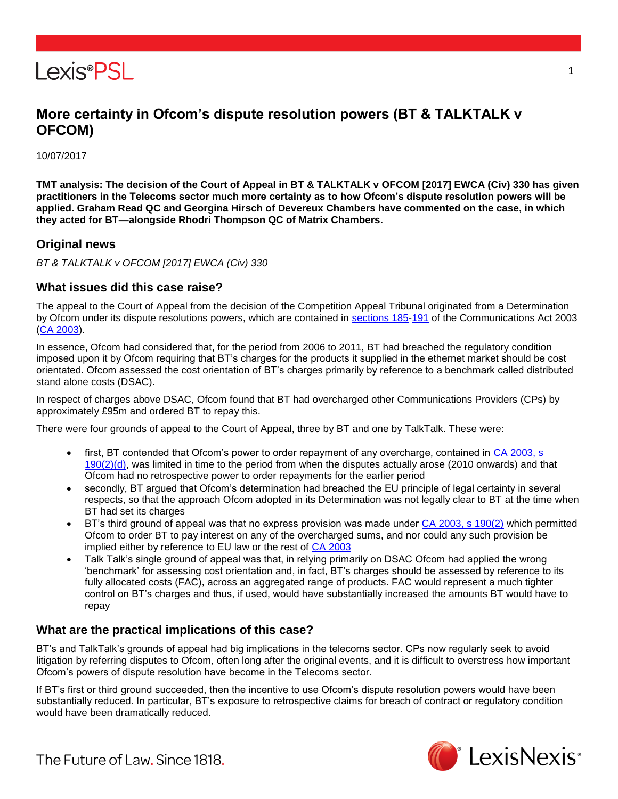

# **More certainty in Ofcom's dispute resolution powers (BT & TALKTALK v OFCOM)**

10/07/2017

**TMT analysis: The decision of the Court of Appeal in BT & TALKTALK v OFCOM [2017] EWCA (Civ) 330 has given practitioners in the Telecoms sector much more certainty as to how Ofcom's dispute resolution powers will be applied. Graham Read QC and Georgina Hirsch of Devereux Chambers have commented on the case, in which they acted for BT—alongside Rhodri Thompson QC of Matrix Chambers.**

## **Original news**

*BT & TALKTALK v OFCOM [2017] EWCA (Civ) 330*

### **What issues did this case raise?**

The appeal to the Court of Appeal from the decision of the Competition Appeal Tribunal originated from a Determination by Ofcom under its dispute resolutions powers, which are contained in [sections 185](https://www.lexisnexis.com/uk/lexispsl/tmt/citationlinkHandler.faces?bct=A&service=citation&risb=&UK_ACTS&$num!%252003_21a%25$section!%25185%25$sect!%25185%25)[-191](https://www.lexisnexis.com/uk/lexispsl/tmt/citationlinkHandler.faces?bct=A&service=citation&risb=&UK_ACTS&$num!%252003_21a%25$section!%25191%25$sect!%25191%25) of the Communications Act 2003 [\(CA 2003\)](https://www.lexisnexis.com/uk/lexispsl/tmt/citationlinkHandler.faces?bct=A&service=citation&risb=&UK_ACTS&$num!%252003_21a_Title%25).

In essence, Ofcom had considered that, for the period from 2006 to 2011, BT had breached the regulatory condition imposed upon it by Ofcom requiring that BT's charges for the products it supplied in the ethernet market should be cost orientated. Ofcom assessed the cost orientation of BT's charges primarily by reference to a benchmark called distributed stand alone costs (DSAC).

In respect of charges above DSAC, Ofcom found that BT had overcharged other Communications Providers (CPs) by approximately £95m and ordered BT to repay this.

There were four grounds of appeal to the Court of Appeal, three by BT and one by TalkTalk. These were:

- first, BT contended that Ofcom's power to order repayment of any overcharge, contained in CA 2003, s [190\(2\)\(d\),](https://www.lexisnexis.com/uk/lexispsl/tmt/citationlinkHandler.faces?bct=A&service=citation&risb=&UK_ACTS&$num!%252003_21a%25$section!%25190%25$sect!%25190%25) was limited in time to the period from when the disputes actually arose (2010 onwards) and that Ofcom had no retrospective power to order repayments for the earlier period
- secondly, BT argued that Ofcom's determination had breached the EU principle of legal certainty in several respects, so that the approach Ofcom adopted in its Determination was not legally clear to BT at the time when BT had set its charges
- BT's third ground of appeal was that no express provision was made under [CA 2003, s 190\(2\)](https://www.lexisnexis.com/uk/lexispsl/tmt/citationlinkHandler.faces?bct=A&service=citation&risb=&UK_ACTS&$num!%252003_21a%25$section!%25190%25$sect!%25190%25) which permitted Ofcom to order BT to pay interest on any of the overcharged sums, and nor could any such provision be implied either by reference to EU law or the rest of [CA 2003](https://www.lexisnexis.com/uk/lexispsl/tmt/citationlinkHandler.faces?bct=A&service=citation&risb=&UK_ACTS&$num!%252003_21a_Title%25)
- Talk Talk's single ground of appeal was that, in relying primarily on DSAC Ofcom had applied the wrong 'benchmark' for assessing cost orientation and, in fact, BT's charges should be assessed by reference to its fully allocated costs (FAC), across an aggregated range of products. FAC would represent a much tighter control on BT's charges and thus, if used, would have substantially increased the amounts BT would have to repay

## **What are the practical implications of this case?**

BT's and TalkTalk's grounds of appeal had big implications in the telecoms sector. CPs now regularly seek to avoid litigation by referring disputes to Ofcom, often long after the original events, and it is difficult to overstress how important Ofcom's powers of dispute resolution have become in the Telecoms sector.

If BT's first or third ground succeeded, then the incentive to use Ofcom's dispute resolution powers would have been substantially reduced. In particular, BT's exposure to retrospective claims for breach of contract or regulatory condition would have been dramatically reduced.



1

The Future of Law. Since 1818.